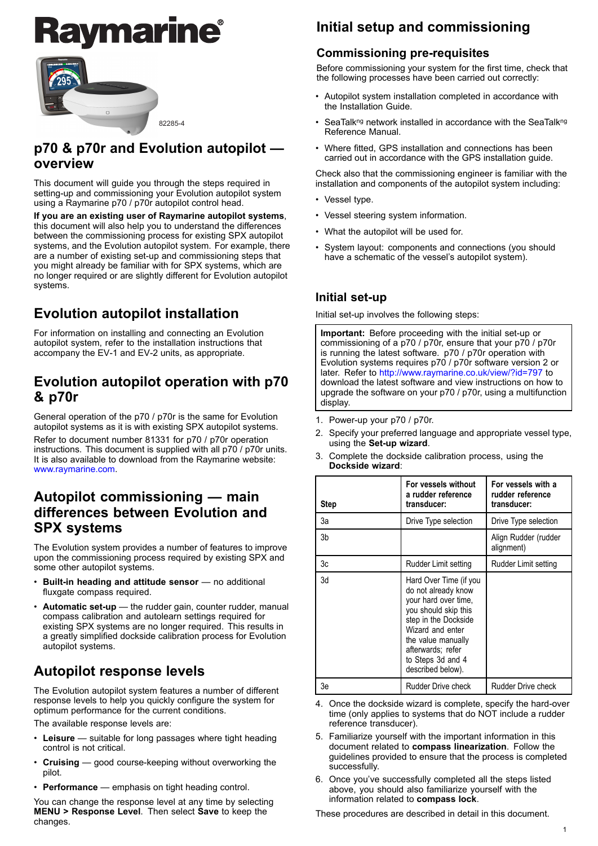# <u>ymarine®</u>



### **p70 & p70r and Evolution autopilot overview**

This document will guide you through the steps required in setting-up and commissioning your Evolution autopilot system using <sup>a</sup> Raymarine p70 / p70r autopilot control head.

**If you are an existing user of Raymarine autopilot systems**, this document will also help you to understand the differences between the commissioning process for existing SPX autopilot systems, and the Evolution autopilot system. For example, there are <sup>a</sup> number of existing set-up and commissioning steps that you might already be familiar with for SPX systems, which are no longer required or are slightly different for Evolution autopilot systems.

### **Evolution autopilot installation**

For information on installing and connecting an Evolution autopilot system, refer to the installation instructions that accom[p](http://www.raymarine.com)an[y](http://www.raymarine.com) the EV-1 and EV-2 units, as appropriate.

### **Evolution autopilot operation with p70 & p70r**

General operation of the p70 / p70r is the same for Evolution autopilot systems as it is with existing SPX autopilot systems. Refer to document number <sup>81331</sup> for p70 / p70r operation instructions. This document is supplied with all p70 / p70r units. It is also available to download from the Raymarine website: www.raymarine.com.

### **Autopilot commissioning — main differences between Evolution and SPX systems**

The Evolution system provides <sup>a</sup> number of features to improve upon the commissioning process required by existing SPX and some other autopilot systems.

- **Built-in heading and attitude sensor** no additional fluxgate compass required.
- **Automatic set-up** the rudder gain, counter rudder, manual compass calibration and autolearn settings required for existing SPX systems are no longer required. This results in <sup>a</sup> greatly simplified dockside calibration process for Evolution autopilot systems.

### **Autopilot response levels**

The Evolution autopilot system features <sup>a</sup> number of different response levels to help you quickly configure the system for optimum performance for the current conditions.

The available response levels are:

- • **Leisure** — suitable for long passages where tight heading control is not critical.
- **Cruising** good course-keeping without overworking the pilot.
- **Performance** emphasis on tight heading control.

You can change the response level at any time by selecting **MENU <sup>&</sup>gt; Response Level**. Then select **Save** to keep the changes.

### **Initial setup and commissioning**

### **Commissioning pre-requisites**

Before commissioning your system for the first time, check that the following processes have been carried out correctly:

- • Autopilot system installation completed in accordance with the Installation Guide.
- •SeaTalkng network installed in accordance with the SeaTalkng Reference Manual.
- • Where fitted, GPS installation and connections has been carried out in accordance with the GPS installation guide.

Check also that the commissioning engineer is familiar with the installation and components of the autopilot system including:

- Vessel type.
- Vessel steering system information.
- What the autopilot will be used for.
- • System layout: components and connections (you should have <sup>a</sup> schematic of the vessel's autopilot system).

### **Initial set-[up](http://www.raymarine.co.uk/view/?id=797)**

Initial set-up involves the following steps:

**Important:** Before proceeding with the initial set-up or commissioning of <sup>a</sup> p70 / p70r, ensure that your p70 / p70r is running the latest software. p70 / p70r operation with Evolution systems requires p70 / p70r software version <sup>2</sup> or later. Refer to http://www.raymarine.co.uk/view/?id=797 to download the latest software and view instructions on how to upgrade the software on your p70 / p70r, using <sup>a</sup> multifunction display.

- 1. Power-up your p70 / p70r.
- 2. Specify your preferred language and appropriate vessel type, using the **Set-up wizard**.
- Complete the dockside calibration process, using the **Dockside wizard**:

| <b>Step</b> | For vessels without<br>a rudder reference<br>transducer:                                                                                                                                                                       | For vessels with a<br>rudder reference<br>transducer: |
|-------------|--------------------------------------------------------------------------------------------------------------------------------------------------------------------------------------------------------------------------------|-------------------------------------------------------|
| За          | Drive Type selection                                                                                                                                                                                                           | Drive Type selection                                  |
| 3b          |                                                                                                                                                                                                                                | Align Rudder (rudder<br>alignment)                    |
| 3c          | Rudder Limit setting                                                                                                                                                                                                           | Rudder Limit setting                                  |
| 3d          | Hard Over Time (if you<br>do not already know<br>your hard over time,<br>you should skip this<br>step in the Dockside<br>Wizard and enter<br>the value manually<br>afterwards; refer<br>to Steps 3d and 4<br>described below). |                                                       |
| 3e          | Rudder Drive check                                                                                                                                                                                                             | <b>Rudder Drive check</b>                             |

- 4. Once the dockside wizard is complete, specify the hard-over time (only applies to systems that do NOT include <sup>a</sup> rudder reference transducer).
- 5. Familiarize yourself with the important information in this document related to **compass linearization**. Follow the guidelines provided to ensure that the process is completed successfully.
- 6. Once you've successfully completed all the steps listed above, you should also familiarize yourself with the information related to **compass lock**.

These procedures are described in detail in this document.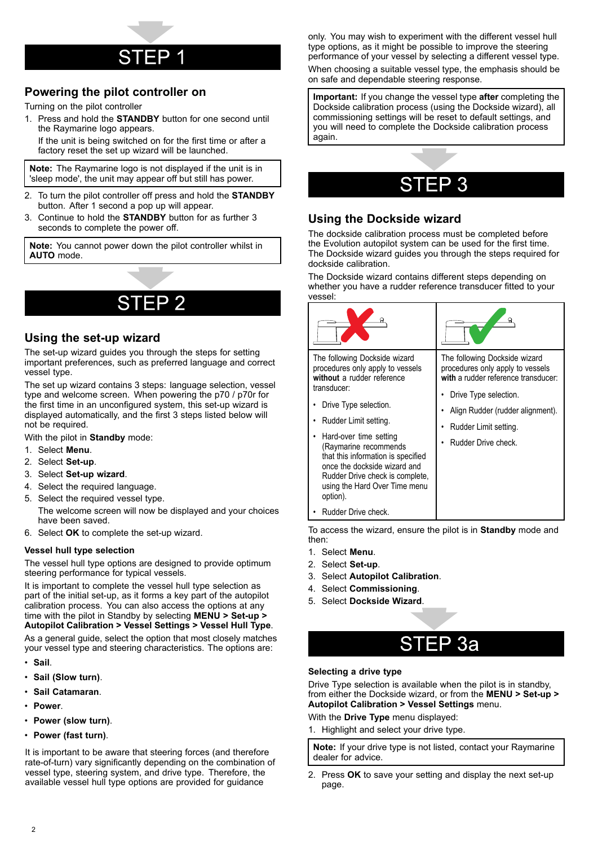### **Powering the pilot controller on**

Turning on the pilot controller

If the unit is being switched by Ior the first time or after a<br>If the unit is being switched by Ior the first time or after a 1. Press and hold the **STANDBY** button for one second until the Raymarine logo appear

factory reset the set up wizard will be launched.

**Note:** The Raymarine logo is not displayed if the unit is in 'sleep mode', the unit may appear off but still has power.

- 2. To turn the pilot controller off press and hold the **STANDBY** button. After <sup>1</sup> second <sup>a</sup> pop up will appear.
- 3. Continue to hold the **STANDBY** button for as further <sup>3</sup> seconds to complete the power off.

**Note:** You cannot power down the pilot controller whilst in **AUTO** mode.

#### **Using the set-up wizard**

The set-up wizard guides you through the steps for setting important preferences, such as preferred language and correct vessel type.

 $\sum_{\text{SUSC}}$   $\sum_{\text{cyc}}$   $\sum_{\text{cyc}}$  anguage selection, vessel type and welcome screen. When powering the p70 / p70r for the first time in an unconfigured system, this set-up wizard is displayed automatically, and the first <sup>3</sup> steps listed below will not be required.

With the pilot in **Standby** mode:

- 1. Select **Menu**.
- 2. Select **Set-up**.
- 3. Select **Set-up wizard**.
- 4. Select the required language.
- 5. Select the required vessel type.

The welcome screen will now be displayed and your choices have been saved.

6. Select **OK** to complete the set-up wizard.

#### **Vessel hull type selection**

The vessel hull type options are designed to provide optimum steering performance for typical vessels.

It is important to complete the vessel hull type selection as part of the initial set-up, as it forms <sup>a</sup> key part of the autopilot calibration process. You can also access the options at any time with the pilot in Standby by selecting **MENU <sup>&</sup>gt; Set-up <sup>&</sup>gt; Autopilot Calibration <sup>&</sup>gt; Vessel Settings <sup>&</sup>gt; Vessel Hull Type**.

As <sup>a</sup> general guide, select the option that most closely matches your vessel type and steering characteristics. The options are:

- **Sail**.
- **Sail (Slow turn)**.
- **Sail Catamaran**.
- **Power**.
- **Power (slow turn)**.
- **Power (fast turn)**.

It is important to be aware that steering forces (and therefore rate-of-turn) vary significantly depending on the combination of vessel type, steering system, and drive type. Therefore, the available vessel hull type options are provided for guidance

only. You may wish to experiment with the different vessel hull type options, as it might be possible to improve the steering performance of your vessel by selecting <sup>a</sup> different vessel type. When choosing <sup>a</sup> suitable vessel type, the emphasis should be on safe and dependable steering response.

**Important:** If you change the vessel type **after** completing the Dockside calibration process (using the Dockside wizard), all commissioning settings will be reset to default settings, and you will need to complete the Dockside calibration process again.



## **Using the Dockside Wizard**

The dockside calibration process must be completed before the Evolution autopilot system can be used for the first time. The Dockside wizard guides you through the steps required for dockside calibration.

The Dockside wizard contains different steps depending on whether you have <sup>a</sup> rudder reference transducer fitted to your vessel:

| The following Dockside wizard<br>procedures only apply to vessels<br>without a rudder reference<br>transducer:<br>Drive Type selection.<br>Rudder Limit setting.<br>Hard-over time setting<br>(Raymarine recommends<br>that this information is specified<br>once the dockside wizard and<br>Rudder Drive check is complete,<br>using the Hard Over Time menu<br>option).<br>Rudder Drive check. | The following Dockside wizard<br>procedures only apply to vessels<br>with a rudder reference transducer:<br>Drive Type selection.<br>Align Rudder (rudder alignment).<br>Rudder Limit setting.<br>Rudder Drive check. |
|--------------------------------------------------------------------------------------------------------------------------------------------------------------------------------------------------------------------------------------------------------------------------------------------------------------------------------------------------------------------------------------------------|-----------------------------------------------------------------------------------------------------------------------------------------------------------------------------------------------------------------------|
|                                                                                                                                                                                                                                                                                                                                                                                                  |                                                                                                                                                                                                                       |

To access the wizard, ensure the pilot is in **Standby** mode and then:

- 1. Select **Menu**.
- 2. Select **Set-up**.
- 3. Select **Autopilot Calibration**.
- 4. Select **Commissioning**.
- 5. Select **Dockside Wizard**.

### STEP 3a

### **Selecting a drive ty SeTTED**<br>Drive Type selection is available when t

Drive Type selection is available when the pilot is in standby, from either the Dockside wizard, or from the **MENU <sup>&</sup>gt; Set-up <sup>&</sup>gt; Autopilot Calibration <sup>&</sup>gt; Vessel Settings** menu.

#### With the **Drive Type** menu displayed:

1. Highlight and select your drive type.

**Note:** If your drive type is not listed, contact your Raymarine dealer for advice.

2. Press **OK** to save your setting and display the next set-up page.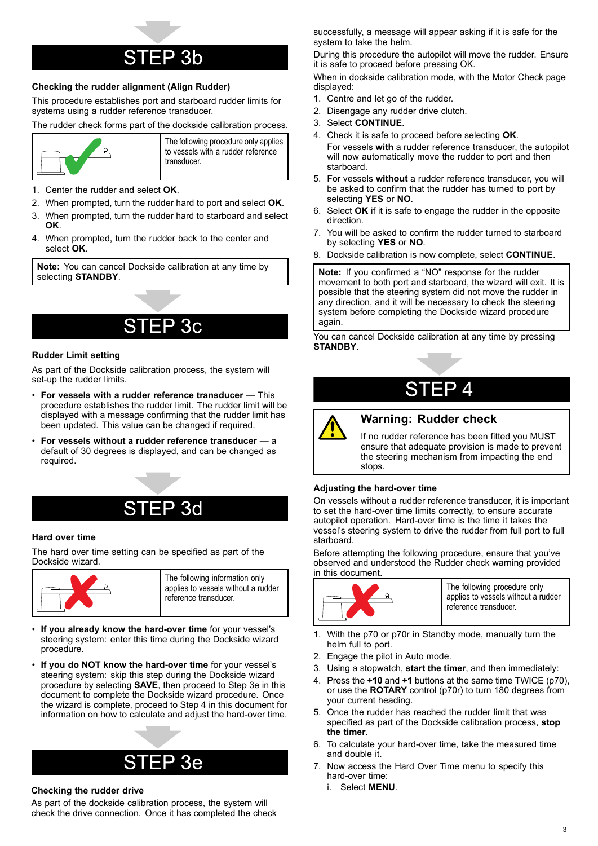### FP 3b

### $\frac{1}{2}$  Checking the rudder alignment (Align Rudder)

This procedure establishes port and starboard rudder limits for systems using <sup>a</sup> rudder reference transducer.

The rudder check forms part of the dockside calibration process.



The following procedure only applies to vessels with <sup>a</sup> rudder reference transducer.

- 1. Center the rudder and select **OK**.
- 2. When prompted, turn the rudder hard to port and select **OK**.
- 3. When prompted, turn the rudder hard to starboard and select **OK**.
- 4. When prompted, turn the rudder back to the center and select **OK**.

**Note:** You can cancel Dockside calibration at any time by selecting **STANDBY**.

### P 3c

#### **Rudder Limit setting**

 $STEP$ As part of the Dockside calibration process, the system will<br>set up the rudder limits set-up the rudder limits.

- **For vessels with <sup>a</sup> rudder reference transducer** This procedure establishes the rudder limit. The rudder limit will be displayed with <sup>a</sup> message confirming that the rudder limit has been updated. This value can be changed if required.
- • **For vessels without <sup>a</sup> rudder reference transducer** — <sup>a</sup> default of <sup>30</sup> degrees is displayed, and can be changed as required.



#### **Hard over time**

### STEP

The hard over time setting can be specified as part of the Dockside wizard.



- • **If you already know the hard-over time** for your vessel's steering system: enter this time during the Dockside wizard procedure.
- • **If you do NOT know the hard-over time** for your vessel's steering system: skip this step during the Dockside wizard procedure by selecting **SAVE**, then proceed to Step 3e in this document to complete the Dockside wizard procedure. Once the wizard is complete, proceed to Step <sup>4</sup> in this document for information on how to calculate and adjust the hard-over time.

### EP 3e

#### $STEP$ **Checking the rudder drive**

As part of the dockside calibration process, the system will<br>chock the drive connection. Once it has completed the cho check the drive connection. Once it has completed the check successfully, <sup>a</sup> message will appear asking if it is safe for the system to take the helm.

During this procedure the autopilot will move the rudder. Ensure it is safe to proceed before pressing OK.

When in dockside calibration mode, with the Motor Check page displayed:

- 1. Centre and let go of the rudder.
- 2. Disengage any rudder drive clutch.
- 3. Select **CONTINUE**.
- 4. Check it is safe to proceed before selecting **OK**. For vessels **with** <sup>a</sup> rudder reference transducer, the autopilot will now automatically move the rudder to port and then starboard.
- 5. For vessels **without** <sup>a</sup> rudder reference transducer, you will be asked to confirm that the rudder has turned to port by selecting **YES** or **NO**.
- 6. Select **OK** if it is safe to engage the rudder in the opposite direction.
- 7. You will be asked to confirm the rudder turned to starboard by selecting **YES** or **NO**.
- 8. Dockside calibration is now complete, select **CONTINUE**.

**Note:** If you confirmed <sup>a</sup> "NO" response for the rudder movement to both port and starboard, the wizard will exit. It is possible that the steering system did not move the rudder in any direction, and it will be necessary to check the steering system before completing the Dockside wizard procedure again.

You can cancel Dockside calibration at any time by pressing **STANDBY**.



### $\sqrt{2}$  **Warning: Rudder** check

If no rudder reference has been fitted you MUST ensure that adequate provision is made to prevent the steering mechanism from impacting the end stops.

#### **Adjusting the hard-over time**

On vessels without <sup>a</sup> rudder reference transducer, it is important to set the hard-over time limits correctly, to ensure accurate autopilot operation. Hard-over time is the time it takes the vessel's steering system to drive the rudder from full port to full starboard.

Before attempting the following procedure, ensure that you've observed and understood the Rudder check warning provided in this document.



The following procedure only applies to vessels without <sup>a</sup> rudder reference transducer.

- 1. With the p70 or p70r in Standby mode, manually turn the helm full to port.
- 2. Engage the pilot in Auto mode.
- 3. Using <sup>a</sup> stopwatch, **start the timer**, and then immediately:
- 4. Press the **+10** and **+1** buttons at the same time TWICE (p70), or use the **ROTARY** control (p70r) to turn <sup>180</sup> degrees from your current heading.
- 5. Once the rudder has reached the rudder limit that was specified as part of the Dockside calibration process, **stop the timer**.
- 6. To calculate your hard-over time, take the measured time and double it.
- 7. Now access the Hard Over Time menu to specify this hard-over time:
	- i. Select **MENU**.